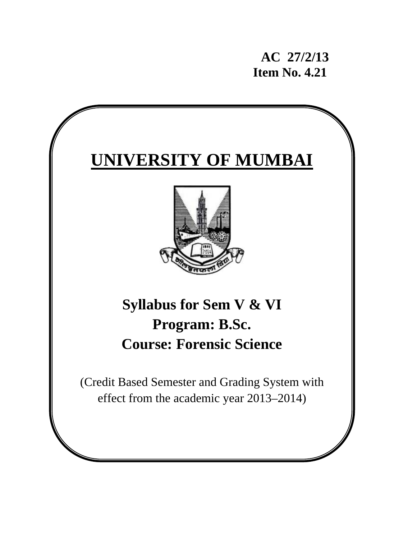**AC 27/2/13 Item No. 4.21** 

# **UNIVERSITY OF MUMBAI**



# **Syllabus for Sem V & VI Program: B.Sc. Course: Forensic Science**

(Credit Based Semester and Grading System with effect from the academic year 2013–2014)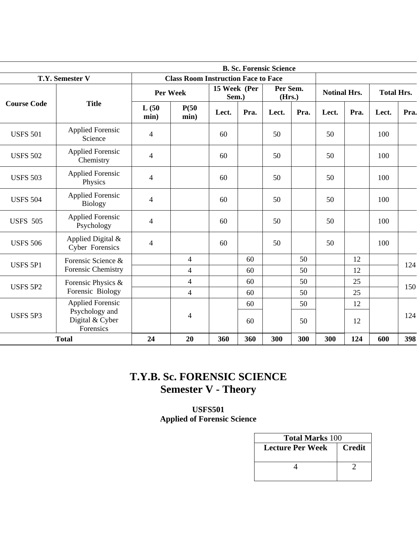|                    |                                                |                                            |                          |       |                       | <b>B. Sc. Forensic Science</b> |                    |       |                     |       |                   |  |
|--------------------|------------------------------------------------|--------------------------------------------|--------------------------|-------|-----------------------|--------------------------------|--------------------|-------|---------------------|-------|-------------------|--|
|                    | T.Y. Semester V                                | <b>Class Room Instruction Face to Face</b> |                          |       |                       |                                |                    |       |                     |       |                   |  |
|                    |                                                | <b>Per Week</b>                            |                          |       | 15 Week (Per<br>Sem.) |                                | Per Sem.<br>(Hrs.) |       | <b>Notinal Hrs.</b> |       | <b>Total Hrs.</b> |  |
| <b>Course Code</b> | <b>Title</b>                                   | L(50)<br>min)                              | P(50)<br>min)            | Lect. | Pra.                  | Lect.                          | Pra.               | Lect. | Pra.                | Lect. | Pra.              |  |
| <b>USFS 501</b>    | <b>Applied Forensic</b><br>Science             | 4                                          |                          | 60    |                       | 50                             |                    | 50    |                     | 100   |                   |  |
| <b>USFS 502</b>    | <b>Applied Forensic</b><br>Chemistry           | $\overline{\mathcal{L}}$                   |                          | 60    |                       | 50                             |                    | 50    |                     | 100   |                   |  |
| <b>USFS 503</b>    | <b>Applied Forensic</b><br>Physics             | $\overline{\mathcal{L}}$                   |                          | 60    |                       | 50                             |                    | 50    |                     | 100   |                   |  |
| <b>USFS 504</b>    | <b>Applied Forensic</b><br><b>Biology</b>      | 4                                          |                          | 60    |                       | 50                             |                    | 50    |                     | 100   |                   |  |
| <b>USFS 505</b>    | <b>Applied Forensic</b><br>Psychology          | $\overline{\mathcal{L}}$                   |                          | 60    |                       | 50                             |                    | 50    |                     | 100   |                   |  |
| <b>USFS 506</b>    | Applied Digital &<br><b>Cyber Forensics</b>    | 4                                          |                          | 60    |                       | 50                             |                    | 50    |                     | 100   |                   |  |
| <b>USFS 5P1</b>    | Forensic Science &                             |                                            | $\overline{4}$           |       | 60                    |                                | 50                 |       | 12                  |       | 124               |  |
|                    | Forensic Chemistry                             |                                            | 4                        |       | 60                    |                                | 50                 |       | 12                  |       |                   |  |
|                    | Forensic Physics &                             |                                            | $\overline{4}$           |       | 60                    |                                | 50                 |       | 25                  |       | 150               |  |
| <b>USFS 5P2</b>    | Forensic Biology                               |                                            | $\overline{\mathcal{L}}$ |       | 60                    |                                | 50                 |       | 25                  |       |                   |  |
|                    | <b>Applied Forensic</b>                        |                                            |                          |       | 60                    |                                | 50                 |       | 12                  |       |                   |  |
| <b>USFS 5P3</b>    | Psychology and<br>Digital & Cyber<br>Forensics |                                            | 4                        |       | 60                    |                                | 50                 |       | 12                  |       | 124               |  |
|                    | <b>Total</b>                                   | 24                                         | 20                       | 360   | 360                   | 300                            | 300                | 300   | 124                 | 600   | 398               |  |

# **T.Y.B. Sc. FORENSIC SCIENCE Semester V - Theory**

**USFS501 Applied of Forensic Science** 

| <b>Total Marks 100</b> |               |  |  |
|------------------------|---------------|--|--|
| Lecture Per Week       | <b>Credit</b> |  |  |
|                        |               |  |  |
|                        |               |  |  |
|                        |               |  |  |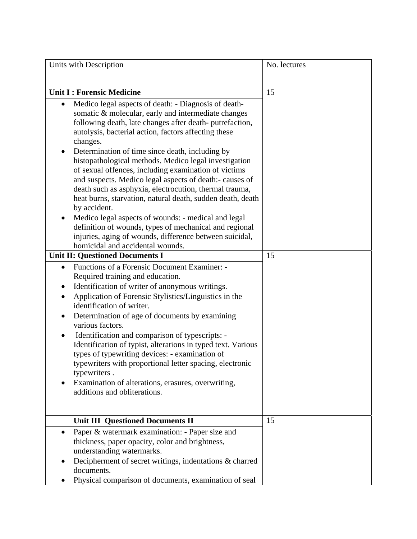| Units with Description                                                                                                                                                                                                                                                                                                                                                                                                                                                                                                                                                                                                                                                                                                                                                                                                                                                                                                                                                                                                                                                                                                                                                                                                                                                                                                                                                                                                                         | No. lectures |
|------------------------------------------------------------------------------------------------------------------------------------------------------------------------------------------------------------------------------------------------------------------------------------------------------------------------------------------------------------------------------------------------------------------------------------------------------------------------------------------------------------------------------------------------------------------------------------------------------------------------------------------------------------------------------------------------------------------------------------------------------------------------------------------------------------------------------------------------------------------------------------------------------------------------------------------------------------------------------------------------------------------------------------------------------------------------------------------------------------------------------------------------------------------------------------------------------------------------------------------------------------------------------------------------------------------------------------------------------------------------------------------------------------------------------------------------|--------------|
|                                                                                                                                                                                                                                                                                                                                                                                                                                                                                                                                                                                                                                                                                                                                                                                                                                                                                                                                                                                                                                                                                                                                                                                                                                                                                                                                                                                                                                                |              |
| <b>Unit I: Forensic Medicine</b>                                                                                                                                                                                                                                                                                                                                                                                                                                                                                                                                                                                                                                                                                                                                                                                                                                                                                                                                                                                                                                                                                                                                                                                                                                                                                                                                                                                                               | 15           |
| Medico legal aspects of death: - Diagnosis of death-<br>٠<br>somatic & molecular, early and intermediate changes<br>following death, late changes after death-putrefaction,<br>autolysis, bacterial action, factors affecting these<br>changes.<br>Determination of time since death, including by<br>histopathological methods. Medico legal investigation<br>of sexual offences, including examination of victims<br>and suspects. Medico legal aspects of death:- causes of<br>death such as asphyxia, electrocution, thermal trauma,<br>heat burns, starvation, natural death, sudden death, death<br>by accident.<br>Medico legal aspects of wounds: - medical and legal<br>definition of wounds, types of mechanical and regional<br>injuries, aging of wounds, difference between suicidal,<br>homicidal and accidental wounds.<br><b>Unit II: Questioned Documents I</b><br>Functions of a Forensic Document Examiner: -<br>$\bullet$<br>Required training and education.<br>Identification of writer of anonymous writings.<br>Application of Forensic Stylistics/Linguistics in the<br>identification of writer.<br>Determination of age of documents by examining<br>various factors.<br>Identification and comparison of typescripts: -<br>$\bullet$<br>Identification of typist, alterations in typed text. Various<br>types of typewriting devices: - examination of<br>typewriters with proportional letter spacing, electronic | 15           |
| typewriters.<br>Examination of alterations, erasures, overwriting,<br>additions and obliterations.                                                                                                                                                                                                                                                                                                                                                                                                                                                                                                                                                                                                                                                                                                                                                                                                                                                                                                                                                                                                                                                                                                                                                                                                                                                                                                                                             |              |
| <b>Unit III Questioned Documents II</b>                                                                                                                                                                                                                                                                                                                                                                                                                                                                                                                                                                                                                                                                                                                                                                                                                                                                                                                                                                                                                                                                                                                                                                                                                                                                                                                                                                                                        | 15           |
| Paper & watermark examination: - Paper size and<br>$\bullet$<br>thickness, paper opacity, color and brightness,<br>understanding watermarks.                                                                                                                                                                                                                                                                                                                                                                                                                                                                                                                                                                                                                                                                                                                                                                                                                                                                                                                                                                                                                                                                                                                                                                                                                                                                                                   |              |
| Decipherment of secret writings, indentations & charred<br>documents.<br>Physical comparison of documents, examination of seal                                                                                                                                                                                                                                                                                                                                                                                                                                                                                                                                                                                                                                                                                                                                                                                                                                                                                                                                                                                                                                                                                                                                                                                                                                                                                                                 |              |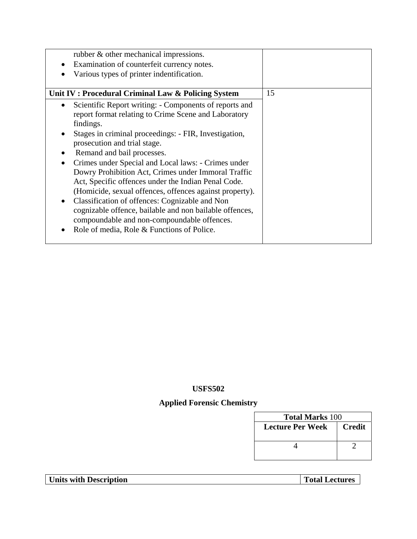| rubber & other mechanical impressions.<br>Examination of counterfeit currency notes.<br>Various types of printer indentification.                                                                                                                                                                                                                                                                                                                                                                                                                                                                                                                                                                         |    |
|-----------------------------------------------------------------------------------------------------------------------------------------------------------------------------------------------------------------------------------------------------------------------------------------------------------------------------------------------------------------------------------------------------------------------------------------------------------------------------------------------------------------------------------------------------------------------------------------------------------------------------------------------------------------------------------------------------------|----|
| Unit IV: Procedural Criminal Law & Policing System                                                                                                                                                                                                                                                                                                                                                                                                                                                                                                                                                                                                                                                        | 15 |
| Scientific Report writing: - Components of reports and<br>$\bullet$<br>report format relating to Crime Scene and Laboratory<br>findings.<br>Stages in criminal proceedings: - FIR, Investigation,<br>prosecution and trial stage.<br>Remand and bail processes.<br>Crimes under Special and Local laws: - Crimes under<br>Dowry Prohibition Act, Crimes under Immoral Traffic<br>Act, Specific offences under the Indian Penal Code.<br>(Homicide, sexual offences, offences against property).<br>Classification of offences: Cognizable and Non<br>cognizable offence, bailable and non bailable offences,<br>compoundable and non-compoundable offences.<br>Role of media, Role & Functions of Police. |    |

# **Applied Forensic Chemistry**

| <b>Total Marks 100</b>  |               |  |  |
|-------------------------|---------------|--|--|
| <b>Lecture Per Week</b> | <b>Credit</b> |  |  |
|                         |               |  |  |
|                         |               |  |  |
|                         |               |  |  |

**Units with Description Total Lectures**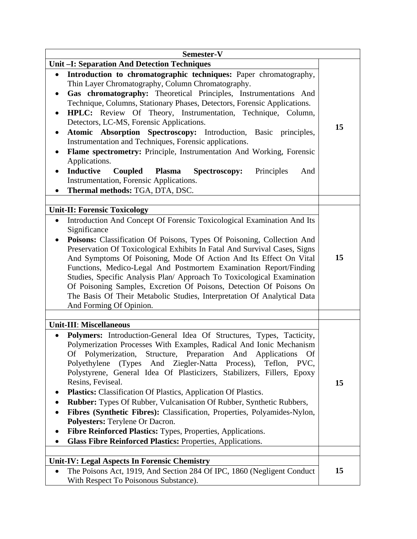| Semester-V                                                                                                                                   |    |  |
|----------------------------------------------------------------------------------------------------------------------------------------------|----|--|
| <b>Unit -I: Separation And Detection Techniques</b>                                                                                          |    |  |
| Introduction to chromatographic techniques: Paper chromatography,<br>$\bullet$<br>Thin Layer Chromatography, Column Chromatography.          |    |  |
| Gas chromatography: Theoretical Principles, Instrumentations And<br>Technique, Columns, Stationary Phases, Detectors, Forensic Applications. |    |  |
| HPLC: Review Of Theory, Instrumentation, Technique, Column,<br>$\bullet$<br>Detectors, LC-MS, Forensic Applications.                         | 15 |  |
| Atomic Absorption Spectroscopy: Introduction, Basic principles,<br>$\bullet$<br>Instrumentation and Techniques, Forensic applications.       |    |  |
| Flame spectrometry: Principle, Instrumentation And Working, Forensic<br>$\bullet$<br>Applications.                                           |    |  |
| <b>Inductive</b><br>Coupled<br>Plasma<br>Spectroscopy:<br>Principles<br>And<br>$\bullet$<br>Instrumentation, Forensic Applications.          |    |  |
| Thermal methods: TGA, DTA, DSC.<br>$\bullet$                                                                                                 |    |  |
| <b>Unit-II: Forensic Toxicology</b>                                                                                                          |    |  |
| Introduction And Concept Of Forensic Toxicological Examination And Its<br>$\bullet$                                                          |    |  |
| Significance                                                                                                                                 |    |  |
| Poisons: Classification Of Poisons, Types Of Poisoning, Collection And<br>$\bullet$                                                          |    |  |
| Preservation Of Toxicological Exhibits In Fatal And Survival Cases, Signs                                                                    | 15 |  |
| And Symptoms Of Poisoning, Mode Of Action And Its Effect On Vital<br>Functions, Medico-Legal And Postmortem Examination Report/Finding       |    |  |
| Studies, Specific Analysis Plan/ Approach To Toxicological Examination                                                                       |    |  |
| Of Poisoning Samples, Excretion Of Poisons, Detection Of Poisons On                                                                          |    |  |
| The Basis Of Their Metabolic Studies, Interpretation Of Analytical Data                                                                      |    |  |
| And Forming Of Opinion.                                                                                                                      |    |  |
|                                                                                                                                              |    |  |
| <b>Unit-III: Miscellaneous</b>                                                                                                               |    |  |
| <b>Polymers:</b> Introduction-General Idea Of Structures, Types, Tacticity,                                                                  |    |  |
| Polymerization Processes With Examples, Radical And Ionic Mechanism                                                                          |    |  |
| Of Polymerization, Structure, Preparation And Applications Of                                                                                |    |  |
| (Types And Ziegler-Natta Process),<br>Polyethylene<br>Teflon,<br>PVC.                                                                        |    |  |
| Polystyrene, General Idea Of Plasticizers, Stabilizers, Fillers, Epoxy<br>Resins, Feviseal.                                                  |    |  |
| <b>Plastics:</b> Classification Of Plastics, Application Of Plastics.                                                                        | 15 |  |
| <b>Rubber:</b> Types Of Rubber, Vulcanisation Of Rubber, Synthetic Rubbers,                                                                  |    |  |
| Fibres (Synthetic Fibres): Classification, Properties, Polyamides-Nylon,<br>$\bullet$                                                        |    |  |
| Polyesters: Terylene Or Dacron.                                                                                                              |    |  |
| Fibre Reinforced Plastics: Types, Properties, Applications.                                                                                  |    |  |
| <b>Glass Fibre Reinforced Plastics: Properties, Applications.</b>                                                                            |    |  |
|                                                                                                                                              |    |  |
| <b>Unit-IV: Legal Aspects In Forensic Chemistry</b>                                                                                          |    |  |
| The Poisons Act, 1919, And Section 284 Of IPC, 1860 (Negligent Conduct)<br>٠                                                                 | 15 |  |
| With Respect To Poisonous Substance).                                                                                                        |    |  |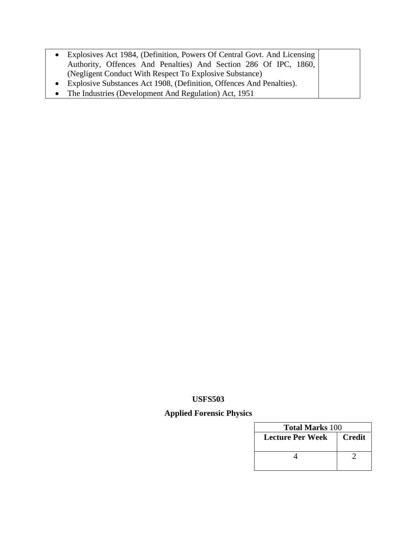- Explosives Act 1984, (Definition, Powers Of Central Govt. And Licensing Authority, Offences And Penalties) And Section 286 Of IPC, 1860, (Negligent Conduct With Respect To Explosive Substance) • Explosive Substances Act 1908, (Definition, Offences And Penalties).
- The Industries (Development And Regulation) Act, 1951

### **Applied Forensic Physics**

| <b>Total Marks 100</b> |               |  |
|------------------------|---------------|--|
| Lecture Per Week       | <b>Credit</b> |  |
|                        |               |  |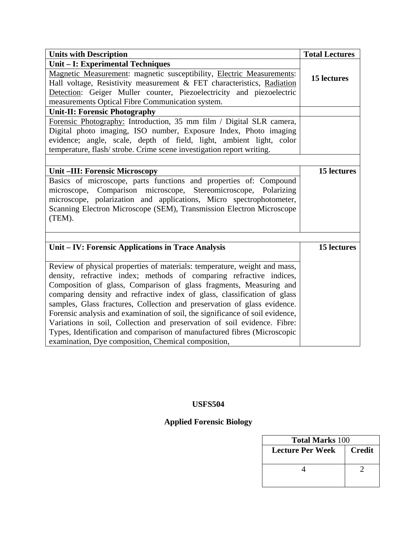| <b>Units with Description</b>                                                 | <b>Total Lectures</b> |
|-------------------------------------------------------------------------------|-----------------------|
| Unit - I: Experimental Techniques                                             |                       |
| Magnetic Measurement: magnetic susceptibility, Electric Measurements:         | 15 lectures           |
| Hall voltage, Resistivity measurement & FET characteristics, Radiation        |                       |
| Detection: Geiger Muller counter, Piezoelectricity and piezoelectric          |                       |
| measurements Optical Fibre Communication system.                              |                       |
| <b>Unit-II: Forensic Photography</b>                                          |                       |
| Forensic Photography: Introduction, 35 mm film / Digital SLR camera,          |                       |
| Digital photo imaging, ISO number, Exposure Index, Photo imaging              |                       |
| evidence; angle, scale, depth of field, light, ambient light, color           |                       |
| temperature, flash/strobe. Crime scene investigation report writing.          |                       |
|                                                                               |                       |
| Unit-III: Forensic Microscopy                                                 | 15 lectures           |
| Basics of microscope, parts functions and properties of: Compound             |                       |
| microscope, Comparison microscope, Stereomicroscope, Polarizing               |                       |
| microscope, polarization and applications, Micro spectrophotometer,           |                       |
| Scanning Electron Microscope (SEM), Transmission Electron Microscope          |                       |
| (TEM).                                                                        |                       |
|                                                                               |                       |
| Unit – IV: Forensic Applications in Trace Analysis                            | 15 lectures           |
|                                                                               |                       |
| Review of physical properties of materials: temperature, weight and mass,     |                       |
| density, refractive index; methods of comparing refractive indices,           |                       |
| Composition of glass, Comparison of glass fragments, Measuring and            |                       |
| comparing density and refractive index of glass, classification of glass      |                       |
| samples, Glass fractures, Collection and preservation of glass evidence.      |                       |
| Forensic analysis and examination of soil, the significance of soil evidence, |                       |
| Variations in soil, Collection and preservation of soil evidence. Fibre:      |                       |
| Types, Identification and comparison of manufactured fibres (Microscopic      |                       |
| examination, Dye composition, Chemical composition,                           |                       |

# **Applied Forensic Biology**

| <b>Total Marks 100</b> |               |  |  |
|------------------------|---------------|--|--|
| Lecture Per Week       | <b>Credit</b> |  |  |
|                        |               |  |  |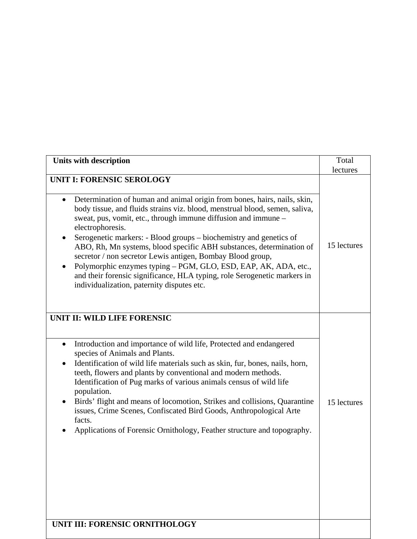| <b>UNIT I: FORENSIC SEROLOGY</b><br>Determination of human and animal origin from bones, hairs, nails, skin,<br>$\bullet$<br>body tissue, and fluids strains viz. blood, menstrual blood, semen, saliva,<br>sweat, pus, vomit, etc., through immune diffusion and immune -<br>electrophoresis.<br>Serogenetic markers: - Blood groups – biochemistry and genetics of<br>٠<br>ABO, Rh, Mn systems, blood specific ABH substances, determination of<br>secretor / non secretor Lewis antigen, Bombay Blood group,<br>Polymorphic enzymes typing – PGM, GLO, ESD, EAP, AK, ADA, etc.,<br>٠<br>and their forensic significance, HLA typing, role Serogenetic markers in<br>individualization, paternity disputes etc.<br>UNIT II: WILD LIFE FORENSIC<br>Introduction and importance of wild life, Protected and endangered<br>$\bullet$<br>species of Animals and Plants.<br>Identification of wild life materials such as skin, fur, bones, nails, horn,<br>teeth, flowers and plants by conventional and modern methods.<br>Identification of Pug marks of various animals census of wild life<br>population.<br>Birds' flight and means of locomotion, Strikes and collisions, Quarantine<br>٠ | lectures<br>15 lectures |
|-----------------------------------------------------------------------------------------------------------------------------------------------------------------------------------------------------------------------------------------------------------------------------------------------------------------------------------------------------------------------------------------------------------------------------------------------------------------------------------------------------------------------------------------------------------------------------------------------------------------------------------------------------------------------------------------------------------------------------------------------------------------------------------------------------------------------------------------------------------------------------------------------------------------------------------------------------------------------------------------------------------------------------------------------------------------------------------------------------------------------------------------------------------------------------------------------|-------------------------|
|                                                                                                                                                                                                                                                                                                                                                                                                                                                                                                                                                                                                                                                                                                                                                                                                                                                                                                                                                                                                                                                                                                                                                                                               |                         |
|                                                                                                                                                                                                                                                                                                                                                                                                                                                                                                                                                                                                                                                                                                                                                                                                                                                                                                                                                                                                                                                                                                                                                                                               |                         |
| issues, Crime Scenes, Confiscated Bird Goods, Anthropological Arte<br>facts.<br>Applications of Forensic Ornithology, Feather structure and topography.<br>UNIT III: FORENSIC ORNITHOLOGY                                                                                                                                                                                                                                                                                                                                                                                                                                                                                                                                                                                                                                                                                                                                                                                                                                                                                                                                                                                                     | 15 lectures             |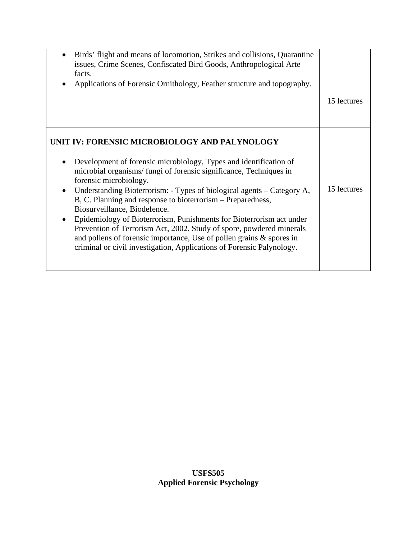| Birds' flight and means of locomotion, Strikes and collisions, Quarantine<br>issues, Crime Scenes, Confiscated Bird Goods, Anthropological Arte<br>facts.<br>Applications of Forensic Ornithology, Feather structure and topography.                                                                                                                                                                                                                                                                                                                                                                                                                                                                        | 15 lectures |
|-------------------------------------------------------------------------------------------------------------------------------------------------------------------------------------------------------------------------------------------------------------------------------------------------------------------------------------------------------------------------------------------------------------------------------------------------------------------------------------------------------------------------------------------------------------------------------------------------------------------------------------------------------------------------------------------------------------|-------------|
| UNIT IV: FORENSIC MICROBIOLOGY AND PALYNOLOGY<br>Development of forensic microbiology, Types and identification of<br>microbial organisms/fungi of forensic significance, Techniques in<br>forensic microbiology.<br>Understanding Bioterrorism: - Types of biological agents – Category A,<br>$\bullet$<br>B, C. Planning and response to bioterrorism – Preparedness,<br>Biosurveillance, Biodefence.<br>Epidemiology of Bioterrorism, Punishments for Bioterrorism act under<br>Prevention of Terrorism Act, 2002. Study of spore, powdered minerals<br>and pollens of forensic importance, Use of pollen grains $\&$ spores in<br>criminal or civil investigation, Applications of Forensic Palynology. | 15 lectures |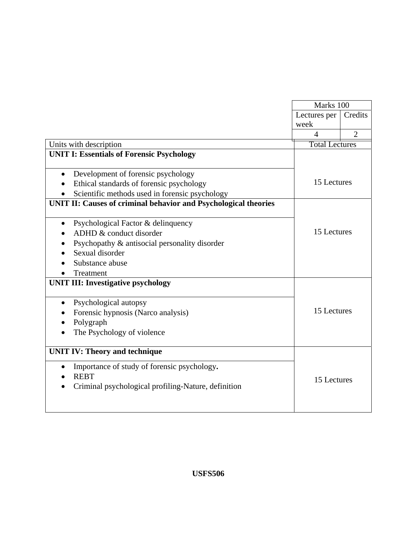|                                                                 | Marks 100             |                |
|-----------------------------------------------------------------|-----------------------|----------------|
|                                                                 | Lectures per          | Credits        |
|                                                                 | week                  |                |
|                                                                 | $\overline{A}$        | $\overline{2}$ |
| Units with description                                          | <b>Total Lectures</b> |                |
| <b>UNIT I: Essentials of Forensic Psychology</b>                |                       |                |
|                                                                 |                       |                |
| Development of forensic psychology<br>$\bullet$                 |                       |                |
| Ethical standards of forensic psychology                        | 15 Lectures           |                |
| Scientific methods used in forensic psychology                  |                       |                |
| UNIT II: Causes of criminal behavior and Psychological theories |                       |                |
| Psychological Factor & delinquency                              |                       |                |
| ADHD & conduct disorder                                         | 15 Lectures           |                |
| Psychopathy & antisocial personality disorder                   |                       |                |
| Sexual disorder                                                 |                       |                |
| Substance abuse                                                 |                       |                |
| Treatment                                                       |                       |                |
| <b>UNIT III: Investigative psychology</b>                       |                       |                |
|                                                                 |                       |                |
| Psychological autopsy<br>$\bullet$                              |                       |                |
| Forensic hypnosis (Narco analysis)                              | 15 Lectures           |                |
| Polygraph                                                       |                       |                |
| The Psychology of violence                                      |                       |                |
| <b>UNIT IV: Theory and technique</b>                            |                       |                |
|                                                                 |                       |                |
| Importance of study of forensic psychology.<br>$\bullet$        |                       |                |
| <b>REBT</b>                                                     | 15 Lectures           |                |
| Criminal psychological profiling-Nature, definition             |                       |                |
|                                                                 |                       |                |
|                                                                 |                       |                |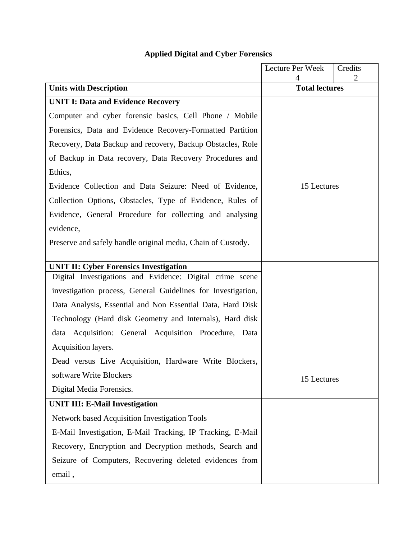|                                                              | Lecture Per Week      | Credits |
|--------------------------------------------------------------|-----------------------|---------|
| <b>Units with Description</b>                                | <b>Total lectures</b> | 2       |
| <b>UNIT I: Data and Evidence Recovery</b>                    |                       |         |
|                                                              |                       |         |
| Computer and cyber forensic basics, Cell Phone / Mobile      |                       |         |
| Forensics, Data and Evidence Recovery-Formatted Partition    |                       |         |
| Recovery, Data Backup and recovery, Backup Obstacles, Role   |                       |         |
| of Backup in Data recovery, Data Recovery Procedures and     |                       |         |
| Ethics,                                                      |                       |         |
| Evidence Collection and Data Seizure: Need of Evidence,      | 15 Lectures           |         |
| Collection Options, Obstacles, Type of Evidence, Rules of    |                       |         |
| Evidence, General Procedure for collecting and analysing     |                       |         |
| evidence,                                                    |                       |         |
| Preserve and safely handle original media, Chain of Custody. |                       |         |
|                                                              |                       |         |
| <b>UNIT II: Cyber Forensics Investigation</b>                |                       |         |
| Digital Investigations and Evidence: Digital crime scene     |                       |         |
| investigation process, General Guidelines for Investigation, |                       |         |
| Data Analysis, Essential and Non Essential Data, Hard Disk   |                       |         |
| Technology (Hard disk Geometry and Internals), Hard disk     |                       |         |
| data Acquisition: General Acquisition Procedure, Data        |                       |         |
| Acquisition layers.                                          |                       |         |
| Dead versus Live Acquisition, Hardware Write Blockers,       |                       |         |
| software Write Blockers                                      | 15 Lectures           |         |
| Digital Media Forensics.                                     |                       |         |
| <b>UNIT III: E-Mail Investigation</b>                        |                       |         |
| Network based Acquisition Investigation Tools                |                       |         |
| E-Mail Investigation, E-Mail Tracking, IP Tracking, E-Mail   |                       |         |
| Recovery, Encryption and Decryption methods, Search and      |                       |         |
| Seizure of Computers, Recovering deleted evidences from      |                       |         |
| email,                                                       |                       |         |

# **Applied Digital and Cyber Forensics**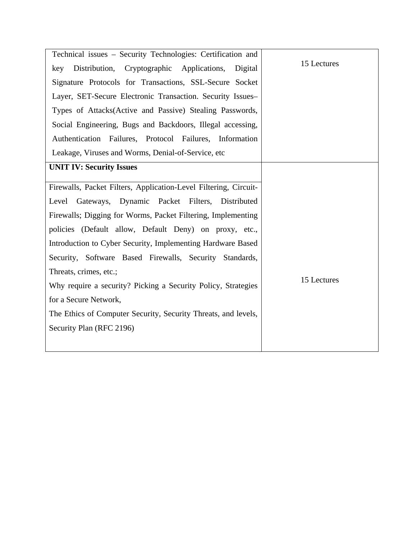| Technical issues - Security Technologies: Certification and      |             |
|------------------------------------------------------------------|-------------|
| Distribution, Cryptographic Applications,<br>Digital<br>key      | 15 Lectures |
| Signature Protocols for Transactions, SSL-Secure Socket          |             |
| Layer, SET-Secure Electronic Transaction. Security Issues-       |             |
| Types of Attacks(Active and Passive) Stealing Passwords,         |             |
| Social Engineering, Bugs and Backdoors, Illegal accessing,       |             |
| Authentication Failures, Protocol Failures, Information          |             |
| Leakage, Viruses and Worms, Denial-of-Service, etc               |             |
| <b>UNIT IV: Security Issues</b>                                  |             |
| Firewalls, Packet Filters, Application-Level Filtering, Circuit- |             |
|                                                                  |             |
| Gateways, Dynamic Packet Filters, Distributed<br>Level           |             |
| Firewalls; Digging for Worms, Packet Filtering, Implementing     |             |
| policies (Default allow, Default Deny) on proxy, etc.,           |             |
| Introduction to Cyber Security, Implementing Hardware Based      |             |
| Security, Software Based Firewalls, Security Standards,          |             |
| Threats, crimes, etc.;                                           |             |
| Why require a security? Picking a Security Policy, Strategies    | 15 Lectures |
| for a Secure Network,                                            |             |
| The Ethics of Computer Security, Security Threats, and levels,   |             |
| Security Plan (RFC 2196)                                         |             |
|                                                                  |             |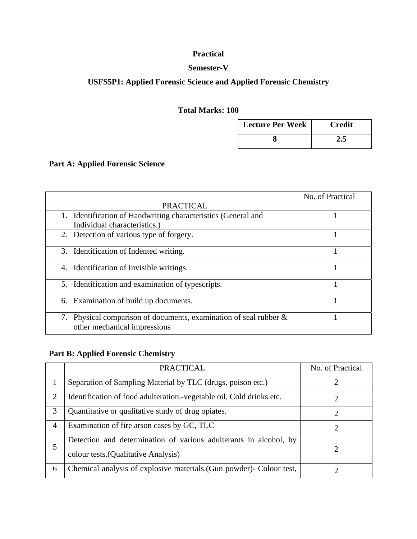### **Practical**

#### **Semester-V**

### **USFS5P1: Applied Forensic Science and Applied Forensic Chemistry**

### **Total Marks: 100**

| <b>Lecture Per Week</b> | <b>Credit</b> |
|-------------------------|---------------|
|                         |               |

### **Part A: Applied Forensic Science**

|                                                                                                      | No. of Practical |
|------------------------------------------------------------------------------------------------------|------------------|
| <b>PRACTICAL</b>                                                                                     |                  |
| 1. Identification of Handwriting characteristics (General and                                        |                  |
| Individual characteristics.)                                                                         |                  |
| 2. Detection of various type of forgery.                                                             |                  |
| 3. Identification of Indented writing.                                                               |                  |
| Identification of Invisible writings.<br>4.                                                          |                  |
| 5. Identification and examination of typescripts.                                                    |                  |
| 6. Examination of build up documents.                                                                |                  |
| 7. Physical comparison of documents, examination of seal rubber $\&$<br>other mechanical impressions |                  |

### **Part B: Applied Forensic Chemistry**

|   | <b>PRACTICAL</b>                                                                                         | No. of Practical |
|---|----------------------------------------------------------------------------------------------------------|------------------|
|   | Separation of Sampling Material by TLC (drugs, poison etc.)                                              | ി                |
| 2 | Identification of food adulteration.-vegetable oil, Cold drinks etc.                                     |                  |
| 3 | Quantitative or qualitative study of drug opiates.                                                       | 2                |
| 4 | Examination of fire arson cases by GC, TLC                                                               | 2                |
| 5 | Detection and determination of various adulterants in alcohol, by<br>colour tests.(Qualitative Analysis) | 2                |
| 6 | Chemical analysis of explosive materials. (Gun powder) - Colour test,                                    |                  |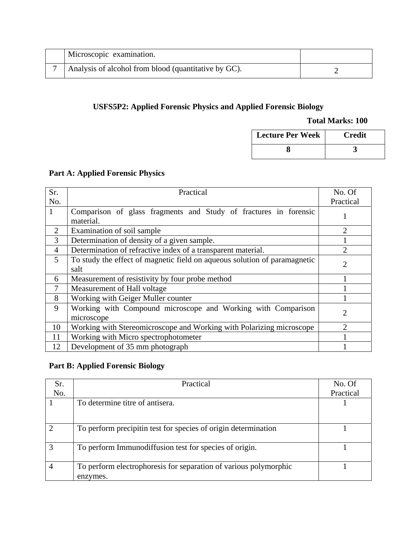| Microscopic examination.                             |  |
|------------------------------------------------------|--|
| Analysis of alcohol from blood (quantitative by GC). |  |

### **USFS5P2: Applied Forensic Physics and Applied Forensic Biology**

#### **Total Marks: 100**

| <b>Lecture Per Week</b> | <b>Credit</b> |
|-------------------------|---------------|
|                         |               |

### **Part A: Applied Forensic Physics**

| Sr.            | Practical                                                                         | No. Of                      |
|----------------|-----------------------------------------------------------------------------------|-----------------------------|
| No.            |                                                                                   | Practical                   |
| $\mathbf{1}$   | Comparison of glass fragments and Study of fractures in forensic<br>material.     |                             |
| 2              | Examination of soil sample                                                        | $\overline{2}$              |
| 3              | Determination of density of a given sample.                                       |                             |
| $\overline{4}$ | Determination of refractive index of a transparent material.                      | $\mathcal{D}_{\mathcal{L}}$ |
| 5              | To study the effect of magnetic field on aqueous solution of paramagnetic<br>salt | $\overline{2}$              |
| 6              | Measurement of resistivity by four probe method                                   |                             |
| 7              | Measurement of Hall voltage                                                       |                             |
| 8              | Working with Geiger Muller counter                                                |                             |
| 9              | Working with Compound microscope and Working with Comparison<br>microscope        | $\overline{2}$              |
| 10             | Working with Stereomicroscope and Working with Polarizing microscope              |                             |
| 11             | Working with Micro spectrophotometer                                              |                             |
| 12             | Development of 35 mm photograph                                                   |                             |

### **Part B: Applied Forensic Biology**

| Sr. | Practical                                                                    | No. Of    |
|-----|------------------------------------------------------------------------------|-----------|
| No. |                                                                              | Practical |
|     | To determine titre of antisera.                                              |           |
|     |                                                                              |           |
|     | To perform precipitin test for species of origin determination               |           |
| 3   | To perform Immunodiffusion test for species of origin.                       |           |
|     | To perform electrophoresis for separation of various polymorphic<br>enzymes. |           |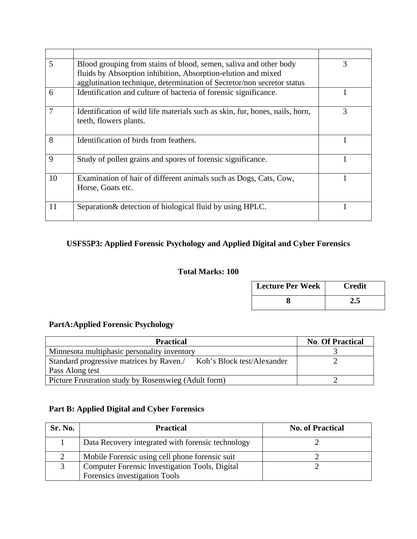| 5              | Blood grouping from stains of blood, semen, saliva and other body                                      | 3 |
|----------------|--------------------------------------------------------------------------------------------------------|---|
|                | fluids by Absorption inhibition, Absorption-elution and mixed                                          |   |
|                | agglutination technique, determination of Secretor/non secretor status                                 |   |
| 6              | Identification and culture of bacteria of forensic significance.                                       |   |
| $\overline{7}$ | Identification of wild life materials such as skin, fur, bones, nails, horn,<br>teeth, flowers plants. | 3 |
| 8              | Identification of birds from feathers.                                                                 |   |
| 9              | Study of pollen grains and spores of forensic significance.                                            |   |
| 10             | Examination of hair of different animals such as Dogs, Cats, Cow,<br>Horse, Goats etc.                 |   |
| 11             | Separation & detection of biological fluid by using HPLC.                                              |   |

### **USFS5P3: Applied Forensic Psychology and Applied Digital and Cyber Forensics**

### **Total Marks: 100**

| <b>Lecture Per Week</b> | <b>Credit</b> |
|-------------------------|---------------|
|                         |               |

### **PartA:Applied Forensic Psychology**

| <b>Practical</b>                                                      | <b>No. Of Practical</b> |
|-----------------------------------------------------------------------|-------------------------|
| Minnesota multiphasic personality inventory                           |                         |
| Standard progressive matrices by Raven.<br>Koh's Block test/Alexander |                         |
| Pass Along test                                                       |                         |
| Picture Frustration study by Rosenswieg (Adult form)                  |                         |

### **Part B: Applied Digital and Cyber Forensics**

| Sr. No. | <b>Practical</b>                                      | <b>No. of Practical</b> |
|---------|-------------------------------------------------------|-------------------------|
|         | Data Recovery integrated with forensic technology     |                         |
|         | Mobile Forensic using cell phone forensic suit        |                         |
|         | <b>Computer Forensic Investigation Tools, Digital</b> |                         |
|         | Forensics investigation Tools                         |                         |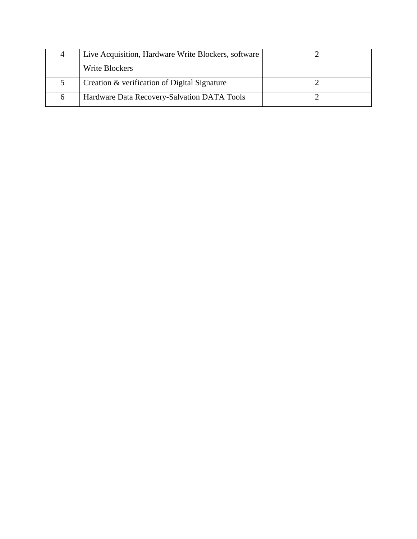|    | Live Acquisition, Hardware Write Blockers, software |  |
|----|-----------------------------------------------------|--|
|    | Write Blockers                                      |  |
|    | Creation & verification of Digital Signature        |  |
| n. | Hardware Data Recovery-Salvation DATA Tools         |  |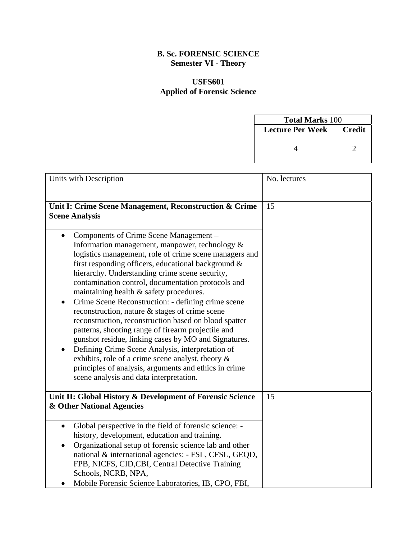#### **B. Sc. FORENSIC SCIENCE Semester VI - Theory**

### **USFS601 Applied of Forensic Science**

| <b>Total Marks 100</b> |               |  |
|------------------------|---------------|--|
| Lecture Per Week       | <b>Credit</b> |  |
|                        |               |  |
|                        |               |  |
|                        |               |  |

| Units with Description                                                                                                                                                                                                                                                                                                                                                                                                                                                                                                                                                                                                                                                                                                                                                                                                                                                             | No. lectures |
|------------------------------------------------------------------------------------------------------------------------------------------------------------------------------------------------------------------------------------------------------------------------------------------------------------------------------------------------------------------------------------------------------------------------------------------------------------------------------------------------------------------------------------------------------------------------------------------------------------------------------------------------------------------------------------------------------------------------------------------------------------------------------------------------------------------------------------------------------------------------------------|--------------|
| Unit I: Crime Scene Management, Reconstruction & Crime<br><b>Scene Analysis</b>                                                                                                                                                                                                                                                                                                                                                                                                                                                                                                                                                                                                                                                                                                                                                                                                    | 15           |
| Components of Crime Scene Management -<br>$\bullet$<br>Information management, manpower, technology &<br>logistics management, role of crime scene managers and<br>first responding officers, educational background &<br>hierarchy. Understanding crime scene security,<br>contamination control, documentation protocols and<br>maintaining health & safety procedures.<br>Crime Scene Reconstruction: - defining crime scene<br>$\bullet$<br>reconstruction, nature & stages of crime scene<br>reconstruction, reconstruction based on blood spatter<br>patterns, shooting range of firearm projectile and<br>gunshot residue, linking cases by MO and Signatures.<br>Defining Crime Scene Analysis, interpretation of<br>exhibits, role of a crime scene analyst, theory &<br>principles of analysis, arguments and ethics in crime<br>scene analysis and data interpretation. |              |
| Unit II: Global History & Development of Forensic Science<br>& Other National Agencies                                                                                                                                                                                                                                                                                                                                                                                                                                                                                                                                                                                                                                                                                                                                                                                             | 15           |
| Global perspective in the field of forensic science: -<br>$\bullet$<br>history, development, education and training.<br>Organizational setup of forensic science lab and other<br>$\bullet$<br>national & international agencies: - FSL, CFSL, GEQD,<br>FPB, NICFS, CID, CBI, Central Detective Training<br>Schools, NCRB, NPA,<br>Mobile Forensic Science Laboratories, IB, CPO, FBI,                                                                                                                                                                                                                                                                                                                                                                                                                                                                                             |              |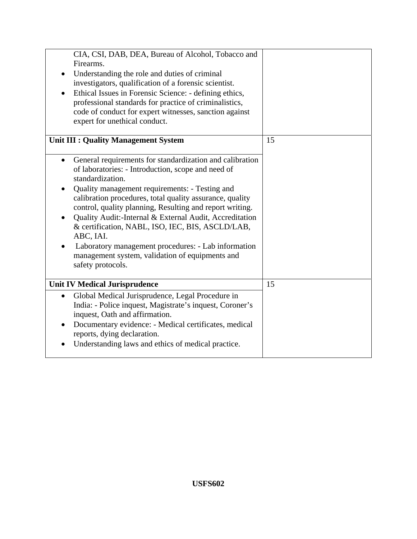| CIA, CSI, DAB, DEA, Bureau of Alcohol, Tobacco and<br>Firearms.<br>Understanding the role and duties of criminal<br>investigators, qualification of a forensic scientist.<br>Ethical Issues in Forensic Science: - defining ethics,<br>professional standards for practice of criminalistics,<br>code of conduct for expert witnesses, sanction against<br>expert for unethical conduct.                                                                                                                                                                                                                                                                      |    |
|---------------------------------------------------------------------------------------------------------------------------------------------------------------------------------------------------------------------------------------------------------------------------------------------------------------------------------------------------------------------------------------------------------------------------------------------------------------------------------------------------------------------------------------------------------------------------------------------------------------------------------------------------------------|----|
| <b>Unit III : Quality Management System</b><br>General requirements for standardization and calibration<br>$\bullet$<br>of laboratories: - Introduction, scope and need of<br>standardization.<br>Quality management requirements: - Testing and<br>$\bullet$<br>calibration procedures, total quality assurance, quality<br>control, quality planning, Resulting and report writing.<br>Quality Audit:-Internal & External Audit, Accreditation<br>$\bullet$<br>& certification, NABL, ISO, IEC, BIS, ASCLD/LAB,<br>ABC, IAI.<br>Laboratory management procedures: - Lab information<br>management system, validation of equipments and<br>safety protocols. | 15 |
| <b>Unit IV Medical Jurisprudence</b><br>Global Medical Jurisprudence, Legal Procedure in<br>$\bullet$<br>India: - Police inquest, Magistrate's inquest, Coroner's<br>inquest, Oath and affirmation.<br>Documentary evidence: - Medical certificates, medical<br>$\bullet$<br>reports, dying declaration.<br>Understanding laws and ethics of medical practice.                                                                                                                                                                                                                                                                                                | 15 |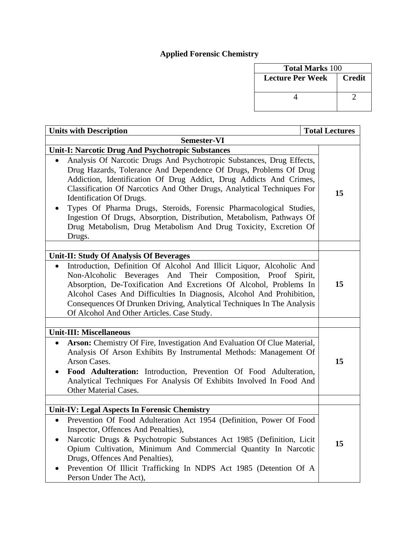# **Applied Forensic Chemistry**

| <b>Total Marks 100</b> |               |
|------------------------|---------------|
| Lecture Per Week       | <b>Credit</b> |
|                        |               |

| <b>Total Lectures</b><br><b>Units with Description</b>                                                                                                                                                                                                                                                                                                                                                                                                                                                                                              |    |
|-----------------------------------------------------------------------------------------------------------------------------------------------------------------------------------------------------------------------------------------------------------------------------------------------------------------------------------------------------------------------------------------------------------------------------------------------------------------------------------------------------------------------------------------------------|----|
| <b>Semester-VI</b>                                                                                                                                                                                                                                                                                                                                                                                                                                                                                                                                  |    |
| <b>Unit-I: Narcotic Drug And Psychotropic Substances</b>                                                                                                                                                                                                                                                                                                                                                                                                                                                                                            |    |
| Analysis Of Narcotic Drugs And Psychotropic Substances, Drug Effects,<br>Drug Hazards, Tolerance And Dependence Of Drugs, Problems Of Drug<br>Addiction, Identification Of Drug Addict, Drug Addicts And Crimes,<br>Classification Of Narcotics And Other Drugs, Analytical Techniques For<br>Identification Of Drugs.<br>Types Of Pharma Drugs, Steroids, Forensic Pharmacological Studies,<br>Ingestion Of Drugs, Absorption, Distribution, Metabolism, Pathways Of<br>Drug Metabolism, Drug Metabolism And Drug Toxicity, Excretion Of<br>Drugs. | 15 |
|                                                                                                                                                                                                                                                                                                                                                                                                                                                                                                                                                     |    |
| <b>Unit-II: Study Of Analysis Of Beverages</b><br>Introduction, Definition Of Alcohol And Illicit Liquor, Alcoholic And<br>Non-Alcoholic Beverages And Their Composition, Proof Spirit,<br>Absorption, De-Toxification And Excretions Of Alcohol, Problems In<br>Alcohol Cases And Difficulties In Diagnosis, Alcohol And Prohibition,<br>Consequences Of Drunken Driving, Analytical Techniques In The Analysis<br>Of Alcohol And Other Articles. Case Study.                                                                                      | 15 |
| <b>Unit-III: Miscellaneous</b>                                                                                                                                                                                                                                                                                                                                                                                                                                                                                                                      |    |
| Arson: Chemistry Of Fire, Investigation And Evaluation Of Clue Material,<br>Analysis Of Arson Exhibits By Instrumental Methods: Management Of<br>Arson Cases.<br>Food Adulteration: Introduction, Prevention Of Food Adulteration,<br>Analytical Techniques For Analysis Of Exhibits Involved In Food And<br>Other Material Cases.                                                                                                                                                                                                                  | 15 |
|                                                                                                                                                                                                                                                                                                                                                                                                                                                                                                                                                     |    |
| <b>Unit-IV: Legal Aspects In Forensic Chemistry</b><br>Prevention Of Food Adulteration Act 1954 (Definition, Power Of Food<br>Inspector, Offences And Penalties),<br>Narcotic Drugs & Psychotropic Substances Act 1985 (Definition, Licit<br>Opium Cultivation, Minimum And Commercial Quantity In Narcotic<br>Drugs, Offences And Penalties),<br>Prevention Of Illicit Trafficking In NDPS Act 1985 (Detention Of A<br>Person Under The Act),                                                                                                      | 15 |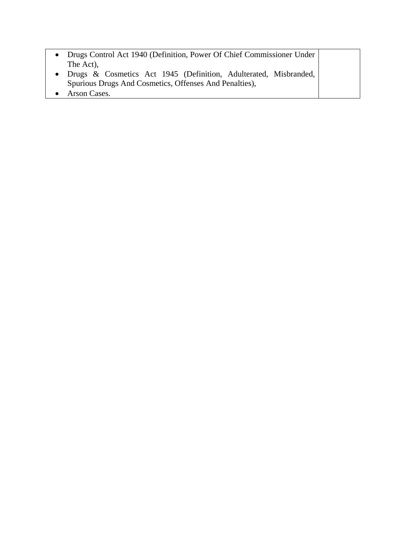| Drugs Control Act 1940 (Definition, Power Of Chief Commissioner Under |  |
|-----------------------------------------------------------------------|--|
| The Act),                                                             |  |
| Drugs & Cosmetics Act 1945 (Definition, Adulterated, Misbranded,      |  |
| Spurious Drugs And Cosmetics, Offenses And Penalties),                |  |
| Arson Cases.                                                          |  |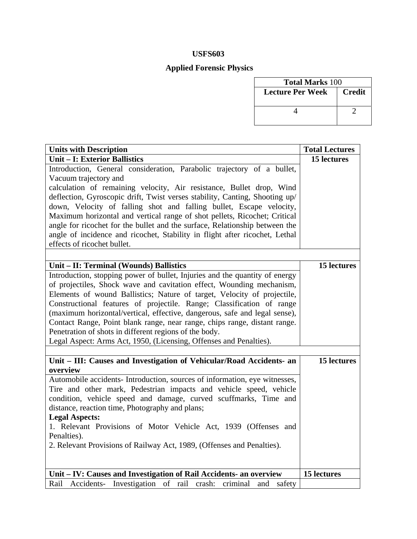### **Applied Forensic Physics**

| <b>Total Marks 100</b>  |               |
|-------------------------|---------------|
| <b>Lecture Per Week</b> | <b>Credit</b> |
|                         |               |

| <b>Units with Description</b>                                                | <b>Total Lectures</b> |
|------------------------------------------------------------------------------|-----------------------|
| <b>Unit - I: Exterior Ballistics</b>                                         | 15 lectures           |
| Introduction, General consideration, Parabolic trajectory of a bullet,       |                       |
| Vacuum trajectory and                                                        |                       |
| calculation of remaining velocity, Air resistance, Bullet drop, Wind         |                       |
| deflection, Gyroscopic drift, Twist verses stability, Canting, Shooting up/  |                       |
| down, Velocity of falling shot and falling bullet, Escape velocity,          |                       |
| Maximum horizontal and vertical range of shot pellets, Ricochet; Critical    |                       |
| angle for ricochet for the bullet and the surface, Relationship between the  |                       |
| angle of incidence and ricochet, Stability in flight after ricochet, Lethal  |                       |
| effects of ricochet bullet.                                                  |                       |
|                                                                              |                       |
| Unit - II: Terminal (Wounds) Ballistics                                      | 15 lectures           |
| Introduction, stopping power of bullet, Injuries and the quantity of energy  |                       |
| of projectiles, Shock wave and cavitation effect, Wounding mechanism,        |                       |
| Elements of wound Ballistics; Nature of target, Velocity of projectile,      |                       |
| Constructional features of projectile. Range; Classification of range        |                       |
| (maximum horizontal/vertical, effective, dangerous, safe and legal sense),   |                       |
| Contact Range, Point blank range, near range, chips range, distant range.    |                       |
| Penetration of shots in different regions of the body.                       |                       |
| Legal Aspect: Arms Act, 1950, (Licensing, Offenses and Penalties).           |                       |
|                                                                              |                       |
| Unit - III: Causes and Investigation of Vehicular/Road Accidents- an         | <b>15 lectures</b>    |
| overview                                                                     |                       |
| Automobile accidents- Introduction, sources of information, eye witnesses,   |                       |
| Tire and other mark, Pedestrian impacts and vehicle speed, vehicle           |                       |
| condition, vehicle speed and damage, curved scuffmarks, Time and             |                       |
| distance, reaction time, Photography and plans;                              |                       |
| <b>Legal Aspects:</b>                                                        |                       |
| 1. Relevant Provisions of Motor Vehicle Act, 1939 (Offenses and              |                       |
| Penalties).                                                                  |                       |
| 2. Relevant Provisions of Railway Act, 1989, (Offenses and Penalties).       |                       |
|                                                                              |                       |
|                                                                              |                       |
| Unit - IV: Causes and Investigation of Rail Accidents- an overview           | 15 lectures           |
| Rail Accidents- Investigation of rail<br>crash:<br>criminal<br>safety<br>and |                       |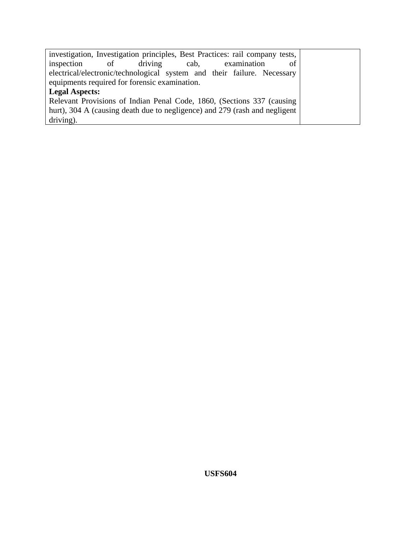| investigation, Investigation principles, Best Practices: rail company tests, |  |  |  |
|------------------------------------------------------------------------------|--|--|--|
| driving cab,<br>inspection of<br>examination<br>of                           |  |  |  |
| electrical/electronic/technological system and their failure. Necessary      |  |  |  |
| equipments required for forensic examination.                                |  |  |  |
| <b>Legal Aspects:</b>                                                        |  |  |  |
| Relevant Provisions of Indian Penal Code, 1860, (Sections 337 (causing       |  |  |  |
| hurt), 304 A (causing death due to negligence) and 279 (rash and negligent   |  |  |  |
| driving).                                                                    |  |  |  |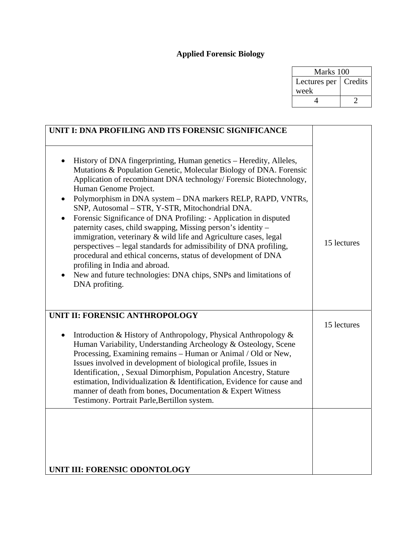### **Applied Forensic Biology**

| Marks 100    |         |  |
|--------------|---------|--|
| Lectures per | Credits |  |
| week         |         |  |
| $\sqrt{2}$   |         |  |

| History of DNA fingerprinting, Human genetics – Heredity, Alleles,<br>Mutations & Population Genetic, Molecular Biology of DNA. Forensic<br>Application of recombinant DNA technology/ Forensic Biotechnology,<br>Human Genome Project.<br>Polymorphism in DNA system – DNA markers RELP, RAPD, VNTRs,<br>$\bullet$<br>SNP, Autosomal - STR, Y-STR, Mitochondrial DNA.<br>Forensic Significance of DNA Profiling: - Application in disputed<br>paternity cases, child swapping, Missing person's identity -<br>immigration, veterinary & wild life and Agriculture cases, legal<br>perspectives – legal standards for admissibility of DNA profiling,<br>procedural and ethical concerns, status of development of DNA<br>profiling in India and abroad.<br>New and future technologies: DNA chips, SNPs and limitations of<br>DNA profiting. | 15 lectures |
|-----------------------------------------------------------------------------------------------------------------------------------------------------------------------------------------------------------------------------------------------------------------------------------------------------------------------------------------------------------------------------------------------------------------------------------------------------------------------------------------------------------------------------------------------------------------------------------------------------------------------------------------------------------------------------------------------------------------------------------------------------------------------------------------------------------------------------------------------|-------------|
| UNIT II: FORENSIC ANTHROPOLOGY<br>Introduction & History of Anthropology, Physical Anthropology &<br>$\bullet$<br>Human Variability, Understanding Archeology & Osteology, Scene<br>Processing, Examining remains - Human or Animal / Old or New,<br>Issues involved in development of biological profile, Issues in<br>Identification, , Sexual Dimorphism, Population Ancestry, Stature<br>estimation, Individualization & Identification, Evidence for cause and<br>manner of death from bones, Documentation & Expert Witness<br>Testimony. Portrait Parle, Bertillon system.                                                                                                                                                                                                                                                             | 15 lectures |
| UNIT III: FORENSIC ODONTOLOGY                                                                                                                                                                                                                                                                                                                                                                                                                                                                                                                                                                                                                                                                                                                                                                                                                 |             |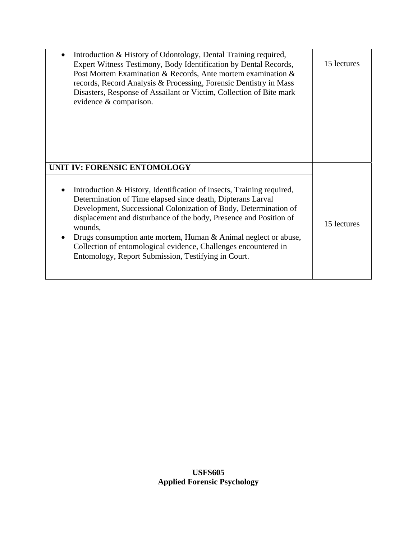| Introduction & History of Odontology, Dental Training required,<br>Expert Witness Testimony, Body Identification by Dental Records,<br>Post Mortem Examination & Records, Ante mortem examination &<br>records, Record Analysis & Processing, Forensic Dentistry in Mass<br>Disasters, Response of Assailant or Victim, Collection of Bite mark<br>evidence & comparison.                                                                                                                                              | 15 lectures |
|------------------------------------------------------------------------------------------------------------------------------------------------------------------------------------------------------------------------------------------------------------------------------------------------------------------------------------------------------------------------------------------------------------------------------------------------------------------------------------------------------------------------|-------------|
| UNIT IV: FORENSIC ENTOMOLOGY<br>Introduction & History, Identification of insects, Training required,<br>Determination of Time elapsed since death, Dipterans Larval<br>Development, Successional Colonization of Body, Determination of<br>displacement and disturbance of the body, Presence and Position of<br>wounds,<br>Drugs consumption ante mortem, Human & Animal neglect or abuse,<br>Collection of entomological evidence, Challenges encountered in<br>Entomology, Report Submission, Testifying in Court. | 15 lectures |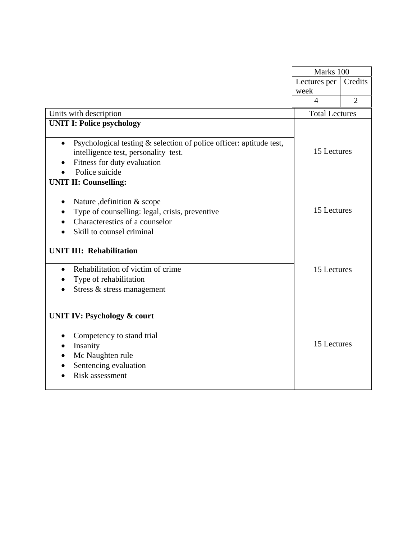|                                                                                  | Marks 100             |                |
|----------------------------------------------------------------------------------|-----------------------|----------------|
|                                                                                  | Lectures per          | Credits        |
|                                                                                  | week                  |                |
|                                                                                  | $\overline{4}$        | $\overline{2}$ |
| Units with description                                                           | <b>Total Lectures</b> |                |
| <b>UNIT I: Police psychology</b>                                                 |                       |                |
| Psychological testing & selection of police officer: aptitude test,<br>$\bullet$ |                       |                |
| intelligence test, personality test.                                             | 15 Lectures           |                |
| Fitness for duty evaluation                                                      |                       |                |
| Police suicide                                                                   |                       |                |
| <b>UNIT II: Counselling:</b>                                                     |                       |                |
| Nature , definition & scope<br>$\bullet$                                         |                       |                |
| Type of counselling: legal, crisis, preventive                                   | 15 Lectures           |                |
| Characterestics of a counselor                                                   |                       |                |
| Skill to counsel criminal                                                        |                       |                |
| <b>UNIT III: Rehabilitation</b>                                                  |                       |                |
| Rehabilitation of victim of crime<br>$\bullet$                                   | 15 Lectures           |                |
| Type of rehabilitation                                                           |                       |                |
| Stress & stress management                                                       |                       |                |
| <b>UNIT IV: Psychology &amp; court</b>                                           |                       |                |
| Competency to stand trial<br>$\bullet$                                           |                       |                |
| Insanity                                                                         | 15 Lectures           |                |
| Mc Naughten rule                                                                 |                       |                |
| Sentencing evaluation                                                            |                       |                |
| <b>Risk assessment</b>                                                           |                       |                |
|                                                                                  |                       |                |
|                                                                                  |                       |                |

 $\overline{a}$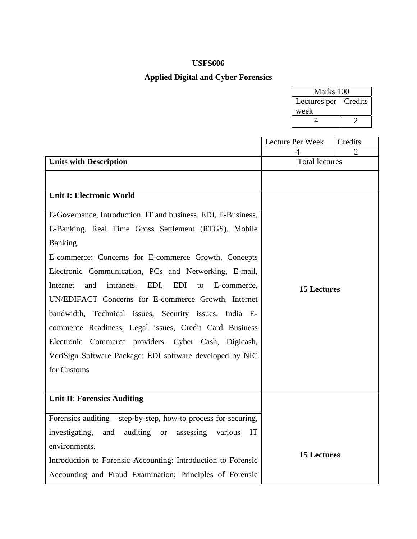### **Applied Digital and Cyber Forensics**

| Marks 100              |  |  |
|------------------------|--|--|
| Lectures per   Credits |  |  |
| week                   |  |  |
|                        |  |  |

|                                                                                                                                                                                                                                                                                                                                                                                                                                                                                                                                                                                                                                                                                | Lecture Per Week      | Credits |
|--------------------------------------------------------------------------------------------------------------------------------------------------------------------------------------------------------------------------------------------------------------------------------------------------------------------------------------------------------------------------------------------------------------------------------------------------------------------------------------------------------------------------------------------------------------------------------------------------------------------------------------------------------------------------------|-----------------------|---------|
|                                                                                                                                                                                                                                                                                                                                                                                                                                                                                                                                                                                                                                                                                | 4                     | 2       |
| <b>Units with Description</b>                                                                                                                                                                                                                                                                                                                                                                                                                                                                                                                                                                                                                                                  | <b>Total lectures</b> |         |
| <b>Unit I: Electronic World</b><br>E-Governance, Introduction, IT and business, EDI, E-Business,<br>E-Banking, Real Time Gross Settlement (RTGS), Mobile<br><b>Banking</b><br>E-commerce: Concerns for E-commerce Growth, Concepts<br>Electronic Communication, PCs and Networking, E-mail,<br>Internet<br>and<br>intranets.<br>EDI.<br>EDI<br>E-commerce.<br>to<br>UN/EDIFACT Concerns for E-commerce Growth, Internet<br>bandwidth, Technical issues, Security issues. India E-<br>commerce Readiness, Legal issues, Credit Card Business<br>Electronic Commerce providers. Cyber Cash, Digicash,<br>VeriSign Software Package: EDI software developed by NIC<br>for Customs | <b>15 Lectures</b>    |         |
| <b>Unit II: Forensics Auditing</b>                                                                                                                                                                                                                                                                                                                                                                                                                                                                                                                                                                                                                                             |                       |         |
| Forensics auditing – step-by-step, how-to process for securing,                                                                                                                                                                                                                                                                                                                                                                                                                                                                                                                                                                                                                |                       |         |
|                                                                                                                                                                                                                                                                                                                                                                                                                                                                                                                                                                                                                                                                                |                       |         |
| investigating,<br>and<br>auditing or<br>assessing<br>various<br>IT                                                                                                                                                                                                                                                                                                                                                                                                                                                                                                                                                                                                             |                       |         |
| environments.                                                                                                                                                                                                                                                                                                                                                                                                                                                                                                                                                                                                                                                                  | <b>15 Lectures</b>    |         |
| Introduction to Forensic Accounting: Introduction to Forensic                                                                                                                                                                                                                                                                                                                                                                                                                                                                                                                                                                                                                  |                       |         |
| Accounting and Fraud Examination; Principles of Forensic                                                                                                                                                                                                                                                                                                                                                                                                                                                                                                                                                                                                                       |                       |         |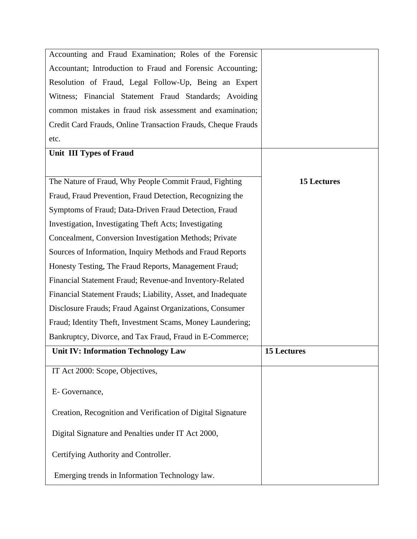| Accounting and Fraud Examination; Roles of the Forensic      |                    |
|--------------------------------------------------------------|--------------------|
| Accountant; Introduction to Fraud and Forensic Accounting;   |                    |
| Resolution of Fraud, Legal Follow-Up, Being an Expert        |                    |
| Witness; Financial Statement Fraud Standards; Avoiding       |                    |
| common mistakes in fraud risk assessment and examination;    |                    |
| Credit Card Frauds, Online Transaction Frauds, Cheque Frauds |                    |
| etc.                                                         |                    |
| <b>Unit III Types of Fraud</b>                               |                    |
|                                                              |                    |
| The Nature of Fraud, Why People Commit Fraud, Fighting       | <b>15 Lectures</b> |
| Fraud, Fraud Prevention, Fraud Detection, Recognizing the    |                    |
| Symptoms of Fraud; Data-Driven Fraud Detection, Fraud        |                    |
| Investigation, Investigating Theft Acts; Investigating       |                    |
| Concealment, Conversion Investigation Methods; Private       |                    |
| Sources of Information, Inquiry Methods and Fraud Reports    |                    |
| Honesty Testing, The Fraud Reports, Management Fraud;        |                    |
| Financial Statement Fraud; Revenue-and Inventory-Related     |                    |
| Financial Statement Frauds; Liability, Asset, and Inadequate |                    |
| Disclosure Frauds; Fraud Against Organizations, Consumer     |                    |
| Fraud; Identity Theft, Investment Scams, Money Laundering;   |                    |
| Bankruptcy, Divorce, and Tax Fraud, Fraud in E-Commerce;     |                    |
| <b>Unit IV: Information Technology Law</b>                   | 15 Lectures        |
| IT Act 2000: Scope, Objectives,                              |                    |
| E- Governance,                                               |                    |
| Creation, Recognition and Verification of Digital Signature  |                    |
| Digital Signature and Penalties under IT Act 2000,           |                    |
| Certifying Authority and Controller.                         |                    |
| Emerging trends in Information Technology law.               |                    |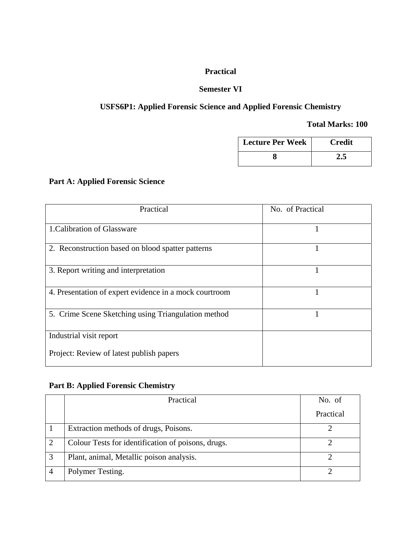### **Practical**

#### **Semester VI**

### **USFS6P1: Applied Forensic Science and Applied Forensic Chemistry**

#### **Total Marks: 100**

| <b>Lecture Per Week</b> | <b>Credit</b> |
|-------------------------|---------------|
|                         | 2.5           |

### **Part A: Applied Forensic Science**

| Practical                                              | No. of Practical |
|--------------------------------------------------------|------------------|
| 1. Calibration of Glassware                            |                  |
| 2. Reconstruction based on blood spatter patterns      |                  |
| 3. Report writing and interpretation                   |                  |
| 4. Presentation of expert evidence in a mock courtroom |                  |
| 5. Crime Scene Sketching using Triangulation method    |                  |
| Industrial visit report                                |                  |
| Project: Review of latest publish papers               |                  |

### **Part B: Applied Forensic Chemistry**

| Practical                                          | No. of    |
|----------------------------------------------------|-----------|
|                                                    | Practical |
| Extraction methods of drugs, Poisons.              |           |
| Colour Tests for identification of poisons, drugs. |           |
| Plant, animal, Metallic poison analysis.           |           |
| Polymer Testing.                                   |           |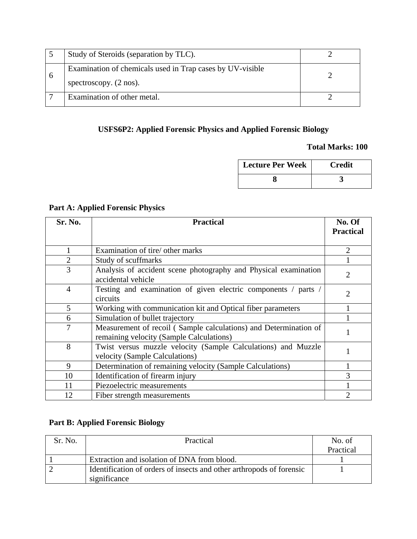| Study of Steroids (separation by TLC).                                                         |  |
|------------------------------------------------------------------------------------------------|--|
| Examination of chemicals used in Trap cases by UV-visible<br>spectroscopy. $(2 \text{ nos})$ . |  |
| Examination of other metal.                                                                    |  |

### **USFS6P2: Applied Forensic Physics and Applied Forensic Biology**

#### **Total Marks: 100**

| <b>Lecture Per Week</b> | Credit |
|-------------------------|--------|
|                         |        |

### **Part A: Applied Forensic Physics**

| Sr. No.        | <b>Practical</b>                                                                                             | No. Of           |
|----------------|--------------------------------------------------------------------------------------------------------------|------------------|
|                |                                                                                                              | <b>Practical</b> |
|                | Examination of tire/ other marks                                                                             | 2                |
| $\overline{2}$ | Study of scuffmarks                                                                                          |                  |
| 3              | Analysis of accident scene photography and Physical examination<br>accidental vehicle                        | 2                |
| $\overline{4}$ | Testing and examination of given electric components / parts /<br>circuits                                   | 2                |
| 5              | Working with communication kit and Optical fiber parameters                                                  |                  |
| 6              | Simulation of bullet trajectory                                                                              |                  |
| 7              | Measurement of recoil (Sample calculations) and Determination of<br>remaining velocity (Sample Calculations) |                  |
| 8              | Twist versus muzzle velocity (Sample Calculations) and Muzzle<br>velocity (Sample Calculations)              |                  |
| 9              | Determination of remaining velocity (Sample Calculations)                                                    |                  |
| 10             | Identification of firearm injury                                                                             |                  |
| 11             | Piezoelectric measurements                                                                                   |                  |
| 12             | Fiber strength measurements                                                                                  |                  |

### **Part B: Applied Forensic Biology**

| Sr. No. | Practical                                                            | No. of    |
|---------|----------------------------------------------------------------------|-----------|
|         |                                                                      | Practical |
|         | Extraction and isolation of DNA from blood.                          |           |
|         | Identification of orders of insects and other arthropods of forensic |           |
|         | significance                                                         |           |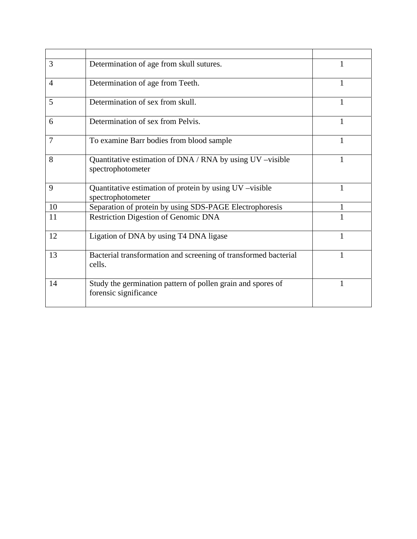| 3              | Determination of age from skull sutures.                                             |   |
|----------------|--------------------------------------------------------------------------------------|---|
| $\overline{4}$ | Determination of age from Teeth.                                                     |   |
| 5              | Determination of sex from skull.                                                     |   |
| 6              | Determination of sex from Pelvis.                                                    |   |
| 7              | To examine Barr bodies from blood sample                                             | 1 |
| 8              | Quantitative estimation of DNA / RNA by using UV -visible<br>spectrophotometer       | 1 |
| 9              | Quantitative estimation of protein by using UV –visible<br>spectrophotometer         | 1 |
| 10             | Separation of protein by using SDS-PAGE Electrophoresis                              |   |
| 11             | <b>Restriction Digestion of Genomic DNA</b>                                          |   |
| 12             | Ligation of DNA by using T4 DNA ligase                                               | 1 |
| 13             | Bacterial transformation and screening of transformed bacterial<br>cells.            |   |
| 14             | Study the germination pattern of pollen grain and spores of<br>forensic significance |   |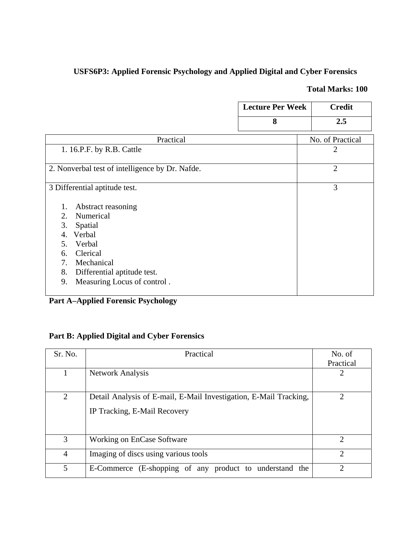### **USFS6P3: Applied Forensic Psychology and Applied Digital and Cyber Forensics**

### **Total Marks: 100**

|                                                                                                                                                                                                                          | <b>Lecture Per Week</b> | <b>Credit</b>    |
|--------------------------------------------------------------------------------------------------------------------------------------------------------------------------------------------------------------------------|-------------------------|------------------|
|                                                                                                                                                                                                                          | 8                       | 2.5              |
| Practical                                                                                                                                                                                                                |                         | No. of Practical |
| 1. 16.P.F. by R.B. Cattle                                                                                                                                                                                                |                         | 2                |
| 2. Nonverbal test of intelligence by Dr. Nafde.                                                                                                                                                                          |                         | $\overline{2}$   |
| 3 Differential aptitude test.                                                                                                                                                                                            |                         | 3                |
| Abstract reasoning<br>1.<br>Numerical<br>2.<br>3.<br>Spatial<br>Verbal<br>$\mathbf{4}$ .<br>Verbal<br>5.<br>Clerical<br>6.<br>Mechanical<br>7.<br>8.<br>Differential aptitude test.<br>Measuring Locus of control.<br>9. |                         |                  |

### **Part A–Applied Forensic Psychology**

### **Part B: Applied Digital and Cyber Forensics**

| Sr. No.        | Practical                                                                                         | No. of         |
|----------------|---------------------------------------------------------------------------------------------------|----------------|
|                |                                                                                                   | Practical      |
|                | <b>Network Analysis</b>                                                                           | 2              |
| $\overline{2}$ | Detail Analysis of E-mail, E-Mail Investigation, E-Mail Tracking,<br>IP Tracking, E-Mail Recovery | 2              |
| 3              | Working on EnCase Software                                                                        | $\overline{2}$ |
| $\overline{4}$ | Imaging of discs using various tools                                                              | $\mathcal{D}$  |
| 5              | E-Commerce (E-shopping of any product to understand the                                           | $\mathcal{D}$  |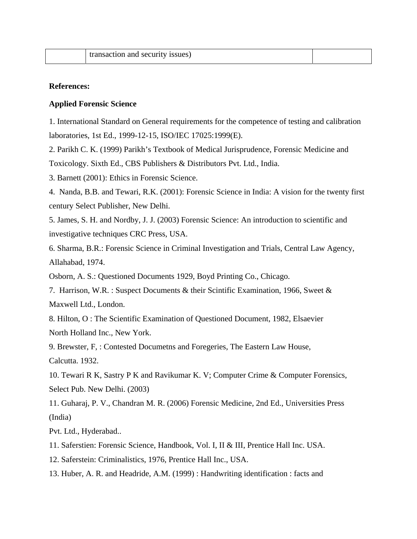| <b>1SSUES</b><br>isaction and security |  |
|----------------------------------------|--|
|----------------------------------------|--|

#### **References:**

#### **Applied Forensic Science**

1. International Standard on General requirements for the competence of testing and calibration laboratories, 1st Ed., 1999-12-15, ISO/IEC 17025:1999(E).

2. Parikh C. K. (1999) Parikh's Textbook of Medical Jurisprudence, Forensic Medicine and Toxicology. Sixth Ed., CBS Publishers & Distributors Pvt. Ltd., India.

3. Barnett (2001): Ethics in Forensic Science.

4. Nanda, B.B. and Tewari, R.K. (2001): Forensic Science in India: A vision for the twenty first century Select Publisher, New Delhi.

5. James, S. H. and Nordby, J. J. (2003) Forensic Science: An introduction to scientific and investigative techniques CRC Press, USA.

6. Sharma, B.R.: Forensic Science in Criminal Investigation and Trials, Central Law Agency, Allahabad, 1974.

Osborn, A. S.: Questioned Documents 1929, Boyd Printing Co., Chicago.

7. Harrison, W.R. : Suspect Documents & their Scintific Examination, 1966, Sweet & Maxwell Ltd., London.

8. Hilton, O : The Scientific Examination of Questioned Document, 1982, Elsaevier North Holland Inc., New York.

9. Brewster, F, : Contested Documetns and Foregeries, The Eastern Law House, Calcutta. 1932.

10. Tewari R K, Sastry P K and Ravikumar K. V; Computer Crime & Computer Forensics, Select Pub. New Delhi. (2003)

11. Guharaj, P. V., Chandran M. R. (2006) Forensic Medicine, 2nd Ed., Universities Press (India)

Pvt. Ltd., Hyderabad..

- 11. Saferstien: Forensic Science, Handbook, Vol. I, II & III, Prentice Hall Inc. USA.
- 12. Saferstein: Criminalistics, 1976, Prentice Hall Inc., USA.
- 13. Huber, A. R. and Headride, A.M. (1999) : Handwriting identification : facts and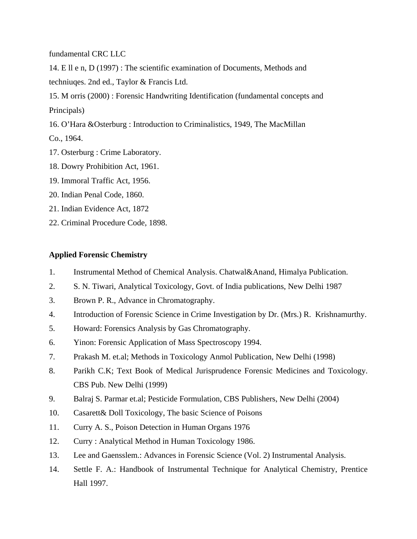fundamental CRC LLC

14. E ll e n, D (1997) : The scientific examination of Documents, Methods and techniuqes. 2nd ed., Taylor & Francis Ltd.

15. M orris (2000) : Forensic Handwriting Identification (fundamental concepts and Principals)

16. O'Hara &Osterburg : Introduction to Criminalistics, 1949, The MacMillan

Co., 1964.

- 17. Osterburg : Crime Laboratory.
- 18. Dowry Prohibition Act, 1961.
- 19. Immoral Traffic Act, 1956.
- 20. Indian Penal Code, 1860.
- 21. Indian Evidence Act, 1872
- 22. Criminal Procedure Code, 1898.

#### **Applied Forensic Chemistry**

- 1. Instrumental Method of Chemical Analysis. Chatwal&Anand, Himalya Publication.
- 2. S. N. Tiwari, Analytical Toxicology, Govt. of India publications, New Delhi 1987
- 3. Brown P. R., Advance in Chromatography.
- 4. Introduction of Forensic Science in Crime Investigation by Dr. (Mrs.) R. Krishnamurthy.
- 5. Howard: Forensics Analysis by Gas Chromatography.
- 6. Yinon: Forensic Application of Mass Spectroscopy 1994.
- 7. Prakash M. et.al; Methods in Toxicology Anmol Publication, New Delhi (1998)
- 8. Parikh C.K; Text Book of Medical Jurisprudence Forensic Medicines and Toxicology. CBS Pub. New Delhi (1999)
- 9. Balraj S. Parmar et.al; Pesticide Formulation, CBS Publishers, New Delhi (2004)
- 10. Casarett& Doll Toxicology, The basic Science of Poisons
- 11. Curry A. S., Poison Detection in Human Organs 1976
- 12. Curry : Analytical Method in Human Toxicology 1986.
- 13. Lee and Gaensslem.: Advances in Forensic Science (Vol. 2) Instrumental Analysis.
- 14. Settle F. A.: Handbook of Instrumental Technique for Analytical Chemistry, Prentice Hall 1997.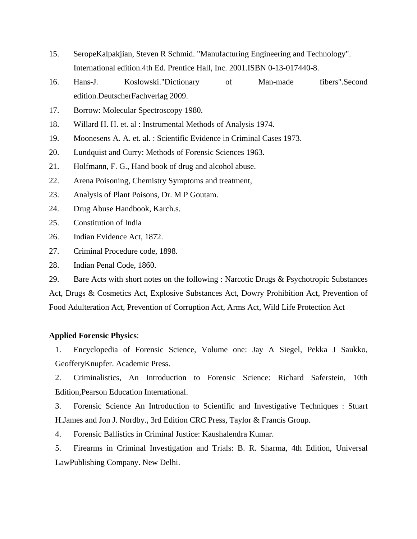- 15. SeropeKalpakjian, Steven R Schmid. "Manufacturing Engineering and Technology". International edition.4th Ed. Prentice Hall, Inc. 2001.ISBN 0-13-017440-8.
- 16. Hans-J. Koslowski."Dictionary of Man-made fibers".Second edition.DeutscherFachverlag 2009.
- 17. Borrow: Molecular Spectroscopy 1980.
- 18. Willard H. H. et. al : Instrumental Methods of Analysis 1974.
- 19. Moonesens A. A. et. al. : Scientific Evidence in Criminal Cases 1973.
- 20. Lundquist and Curry: Methods of Forensic Sciences 1963.
- 21. Holfmann, F. G., Hand book of drug and alcohol abuse.
- 22. Arena Poisoning, Chemistry Symptoms and treatment,
- 23. Analysis of Plant Poisons, Dr. M P Goutam.
- 24. Drug Abuse Handbook, Karch.s.
- 25. Constitution of India
- 26. Indian Evidence Act, 1872.
- 27. Criminal Procedure code, 1898.
- 28. Indian Penal Code, 1860.

29. Bare Acts with short notes on the following : Narcotic Drugs & Psychotropic Substances

Act, Drugs & Cosmetics Act, Explosive Substances Act, Dowry Prohibition Act, Prevention of Food Adulteration Act, Prevention of Corruption Act, Arms Act, Wild Life Protection Act

#### **Applied Forensic Physics**:

1. Encyclopedia of Forensic Science, Volume one: Jay A Siegel, Pekka J Saukko, GeofferyKnupfer. Academic Press.

2. Criminalistics, An Introduction to Forensic Science: Richard Saferstein, 10th Edition,Pearson Education International.

3. Forensic Science An Introduction to Scientific and Investigative Techniques : Stuart H.James and Jon J. Nordby., 3rd Edition CRC Press, Taylor & Francis Group.

4. Forensic Ballistics in Criminal Justice: Kaushalendra Kumar.

5. Firearms in Criminal Investigation and Trials: B. R. Sharma, 4th Edition, Universal LawPublishing Company. New Delhi.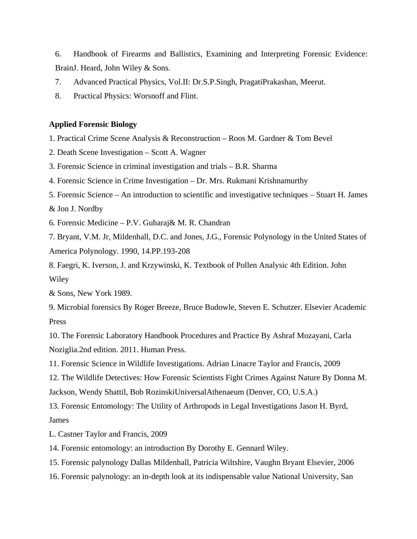6. Handbook of Firearms and Ballistics, Examining and Interpreting Forensic Evidence: BrainJ. Heard, John Wiley & Sons.

- 7. Advanced Practical Physics, Vol.II: Dr.S.P.Singh, PragatiPrakashan, Meerut.
- 8. Practical Physics: Worsnoff and Flint.

#### **Applied Forensic Biology**

1. Practical Crime Scene Analysis & Reconstruction – Roos M. Gardner & Tom Bevel

- 2. Death Scene Investigation Scott A. Wagner
- 3. Forensic Science in criminal investigation and trials B.R. Sharma
- 4. Forensic Science in Crime Investigation Dr. Mrs. Rukmani Krishnamurthy
- 5. Forensic Science An introduction to scientific and investigative techniques Stuart H. James

& Jon J. Nordby

6. Forensic Medicine – P.V. Guharaj& M. R. Chandran

7. Bryant, V.M. Jr, Mildenhall, D.C. and Jones, J.G., Forensic Polynology in the United States of America Polynology. 1990, 14.PP.193-208

8. Faegri, K. Iverson, J. and Krzywinski, K. Textbook of Pollen Analysic 4th Edition. John Wiley

& Sons, New York 1989.

9. Microbial forensics By Roger Breeze, Bruce Budowle, Steven E. Schutzer. Elsevier Academic Press

10. The Forensic Laboratory Handbook Procedures and Practice By Ashraf Mozayani, Carla Noziglia.2nd edition. 2011. Human Press.

11. Forensic Science in Wildlife Investigations. Adrian Linacre Taylor and Francis, 2009

12. The Wildlife Detectives: How Forensic Scientists Fight Crimes Against Nature By Donna M.

Jackson, Wendy Shattil, Bob RozinskiUniversalAthenaeum (Denver, CO, U.S.A.)

13. Forensic Entomology: The Utility of Arthropods in Legal Investigations Jason H. Byrd, James

L. Castner Taylor and Francis, 2009

14. Forensic entomology: an introduction By Dorothy E. Gennard Wiley.

15. Forensic palynology Dallas Mildenhall, Patricia Wiltshire, Vaughn Bryant Elsevier, 2006

16. Forensic palynology: an in-depth look at its indispensable value National University, San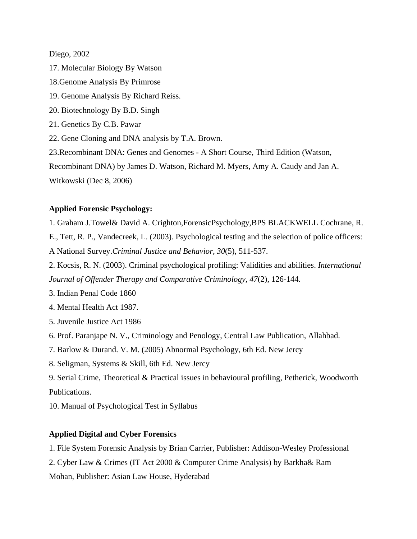Diego, 2002

17. Molecular Biology By Watson

- 18.Genome Analysis By Primrose
- 19. Genome Analysis By Richard Reiss.
- 20. Biotechnology By B.D. Singh
- 21. Genetics By C.B. Pawar
- 22. Gene Cloning and DNA analysis by T.A. Brown.
- 23.Recombinant DNA: Genes and Genomes A Short Course, Third Edition (Watson,

Recombinant DNA) by James D. Watson, Richard M. Myers, Amy A. Caudy and Jan A.

Witkowski (Dec 8, 2006)

#### **Applied Forensic Psychology:**

1. Graham J.Towel& David A. Crighton,ForensicPsychology,BPS BLACKWELL Cochrane, R.

E., Tett, R. P., Vandecreek, L. (2003). Psychological testing and the selection of police officers: A National Survey.*Criminal Justice and Behavior, 30*(5), 511-537.

2. Kocsis, R. N. (2003). Criminal psychological profiling: Validities and abilities. *International Journal of Offender Therapy and Comparative Criminology, 47*(2), 126-144.

3. Indian Penal Code 1860

4. Mental Health Act 1987.

- 5. Juvenile Justice Act 1986
- 6. Prof. Paranjape N. V., Criminology and Penology, Central Law Publication, Allahbad.
- 7. Barlow & Durand. V. M. (2005) Abnormal Psychology, 6th Ed. New Jercy
- 8. Seligman, Systems & Skill, 6th Ed. New Jercy

9. Serial Crime, Theoretical & Practical issues in behavioural profiling, Petherick, Woodworth Publications.

10. Manual of Psychological Test in Syllabus

#### **Applied Digital and Cyber Forensics**

- 1. File System Forensic Analysis by Brian Carrier, Publisher: Addison-Wesley Professional
- 2. Cyber Law & Crimes (IT Act 2000 & Computer Crime Analysis) by Barkha& Ram

Mohan, Publisher: Asian Law House, Hyderabad